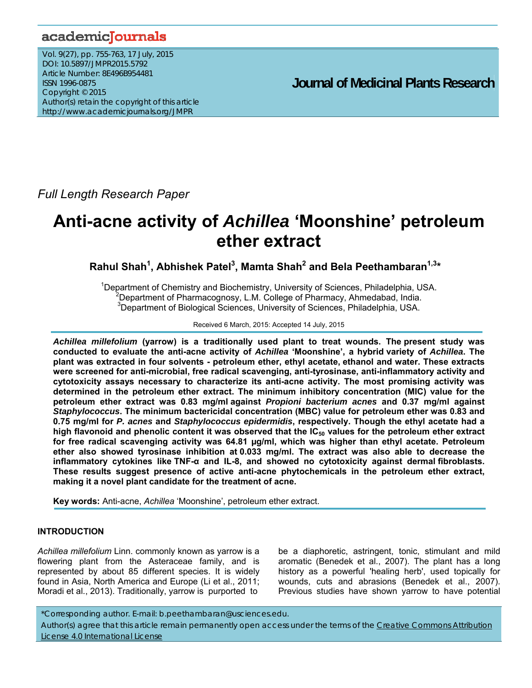## academicJournals

Vol. 9(27), pp. 755-763, 17 July, 2015 DOI: 10.5897/JMPR2015.5792 Article Number: 8E496B954481 ISSN 1996-0875 Copyright © 2015 Author(s) retain the copyright of this article http://www.academicjournals.org/JMPR

 **Journal of Medicinal Plants Research** 

*Full Length Research Paper* 

# **Anti-acne activity of** *Achillea* **'Moonshine' petroleum ether extract**

**Rahul Shah1 , Abhishek Patel3 , Mamta Shah2 and Bela Peethambaran1,3\***

<sup>1</sup>Department of Chemistry and Biochemistry, University of Sciences, Philadelphia, USA. <sup>2</sup>Department of Pharmaceaneau, L.M. College of Pharmacu, Ahmodebad, India.  $\beta$ Department of Pharmacognosy, L.M. College of Pharmacy, Ahmedabad, India. <sup>3</sup>Department of Biological Sciences, University of Sciences, Philadelphia, USA.

## Received 6 March, 2015: Accepted 14 July, 2015

*Achillea millefolium* **(yarrow) is a traditionally used plant to treat wounds. The present study was conducted to evaluate the anti-acne activity of** *Achillea* **'Moonshine', a hybrid variety of** *Achillea***. The plant was extracted in four solvents - petroleum ether, ethyl acetate, ethanol and water. These extracts were screened for anti-microbial, free radical scavenging, anti-tyrosinase, anti-inflammatory activity and cytotoxicity assays necessary to characterize its anti-acne activity. The most promising activity was determined in the petroleum ether extract. The minimum inhibitory concentration (MIC) value for the petroleum ether extract was 0.83 mg/ml against** *Propioni bacterium acnes* **and 0.37 mg/ml against**  *Staphylococcus***. The minimum bactericidal concentration (MBC) value for petroleum ether was 0.83 and 0.75 mg/ml for** *P. acnes* **and** *Staphylococcus epidermidis***, respectively. Though the ethyl acetate had a**  high flavonoid and phenolic content it was observed that the IC<sub>50</sub> values for the petroleum ether extract **for free radical scavenging activity was 64.81 µg/ml, which was higher than ethyl acetate. Petroleum ether also showed tyrosinase inhibition at 0.033 mg/ml. The extract was also able to decrease the inflammatory cytokines like TNF-α and IL-8, and showed no cytotoxicity against dermal fibroblasts. These results suggest presence of active anti-acne phytochemicals in the petroleum ether extract, making it a novel plant candidate for the treatment of acne.** 

**Key words:** Anti-acne, *Achillea* 'Moonshine', petroleum ether extract.

## **INTRODUCTION**

*Achillea millefolium* Linn. commonly known as yarrow is a flowering plant from the Asteraceae family, and is represented by about 85 different species. It is widely found in Asia, North America and Europe (Li et al., 2011; Moradi et al., 2013). Traditionally, yarrow is purported to

be a diaphoretic, astringent, tonic, stimulant and mild aromatic (Benedek et al., 2007). The plant has a long history as a powerful 'healing herb', used topically for wounds, cuts and abrasions (Benedek et al., 2007). Previous studies have shown yarrow to have potential

\*Corresponding author. E-mail: b.peethambaran@usciences.edu. Author(s) agree that this article remain permanently open access under the terms of the Creative Commons Attribution License 4.0 International License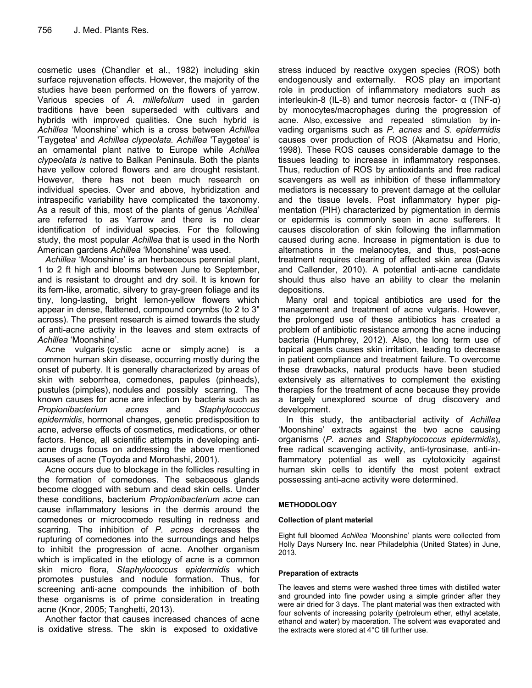cosmetic uses (Chandler et al., 1982) including skin surface rejuvenation effects. However, the majority of the studies have been performed on the flowers of yarrow. Various species of *A. millefolium* used in garden traditions have been superseded with cultivars and hybrids with improved qualities. One such hybrid is *Achillea* 'Moonshine' which is a cross between *Achillea* 'Taygetea' and *Achillea clypeolata. Achillea* 'Taygetea' is an ornamental plant native to Europe while *Achillea clypeolata is* native to Balkan Peninsula. Both the plants have yellow colored flowers and are drought resistant. However, there has not been much research on individual species. Over and above, hybridization and intraspecific variability have complicated the taxonomy. As a result of this, most of the plants of genus '*Achillea*' are referred to as Yarrow and there is no clear identification of individual species. For the following study, the most popular *Achillea* that is used in the North American gardens *Achillea* 'Moonshine' was used.

*Achillea* 'Moonshine' is an herbaceous perennial plant, 1 to 2 ft high and blooms between June to September, and is resistant to drought and dry soil. It is known for its fern-like, aromatic, silvery to gray-green foliage and its tiny, long-lasting, bright lemon-yellow flowers which appear in dense, flattened, compound corymbs (to 2 to 3" across). The present research is aimed towards the study of anti-acne activity in the leaves and stem extracts of *Achillea* 'Moonshine'.

Acne vulgaris (cystic acne or simply acne) is a common human skin disease, occurring mostly during the onset of puberty. It is generally characterized by areas of skin with seborrhea, comedones, papules (pinheads), pustules (pimples), nodules and possibly scarring. The known causes for acne are infection by bacteria such as *Propionibacterium acnes* and *Staphylococcus epidermidis*, hormonal changes, genetic predisposition to acne, adverse effects of cosmetics, medications, or other factors. Hence, all scientific attempts in developing antiacne drugs focus on addressing the above mentioned causes of acne (Toyoda and Morohashi, 2001).

Acne occurs due to blockage in the follicles resulting in the formation of comedones. The sebaceous glands become clogged with sebum and dead skin cells. Under these conditions, bacterium *Propionibacterium acne* can cause inflammatory lesions in the dermis around the comedones or microcomedo resulting in redness and scarring. The inhibition of *P. acnes* decreases the rupturing of comedones into the surroundings and helps to inhibit the progression of acne. Another organism which is implicated in the etiology of acne is a common skin micro flora, *Staphylococcus epidermidis* which promotes pustules and nodule formation. Thus, for screening anti-acne compounds the inhibition of both these organisms is of prime consideration in treating acne (Knor, 2005; Tanghetti, 2013).

Another factor that causes increased chances of acne is oxidative stress. The skin is exposed to oxidative

stress induced by reactive oxygen species (ROS) both endogenously and externally. ROS play an important role in production of inflammatory mediators such as interleukin-8 (IL-8) and tumor necrosis factor-  $\alpha$  (TNF- $\alpha$ ) by monocytes/macrophages during the progression of acne. Also, excessive and repeated stimulation by invading organisms such as *P. acnes* and *S. epidermidis* causes over production of ROS (Akamatsu and Horio, 1998). These ROS causes considerable damage to the tissues leading to increase in inflammatory responses. Thus, reduction of ROS by antioxidants and free radical scavengers as well as inhibition of these inflammatory mediators is necessary to prevent damage at the cellular and the tissue levels. Post inflammatory hyper pigmentation (PIH) characterized by pigmentation in dermis or epidermis is commonly seen in acne sufferers. It causes discoloration of skin following the inflammation caused during acne. Increase in pigmentation is due to alternations in the melanocytes, and thus, post-acne treatment requires clearing of affected skin area (Davis and Callender, 2010). A potential anti-acne candidate should thus also have an ability to clear the melanin depositions.

Many oral and topical antibiotics are used for the management and treatment of acne vulgaris. However, the prolonged use of these antibiotics has created a problem of antibiotic resistance among the acne inducing bacteria (Humphrey, 2012). Also, the long term use of topical agents causes skin irritation, leading to decrease in patient compliance and treatment failure. To overcome these drawbacks, natural products have been studied extensively as alternatives to complement the existing therapies for the treatment of acne because they provide a largely unexplored source of drug discovery and development.

In this study, the antibacterial activity of *Achillea* 'Moonshine' extracts against the two acne causing organisms (*P. acnes* and *Staphylococcus epidermidis*), free radical scavenging activity, anti-tyrosinase, anti-inflammatory potential as well as cytotoxicity against human skin cells to identify the most potent extract possessing anti-acne activity were determined.

## **METHODOLOGY**

## **Collection of plant material**

Eight full bloomed *Achillea* 'Moonshine' plants were collected from Holly Days Nursery Inc. near Philadelphia (United States) in June, 2013.

## **Preparation of extracts**

The leaves and stems were washed three times with distilled water and grounded into fine powder using a simple grinder after they were air dried for 3 days. The plant material was then extracted with four solvents of increasing polarity (petroleum ether, ethyl acetate, ethanol and water) by maceration. The solvent was evaporated and the extracts were stored at 4°C till further use.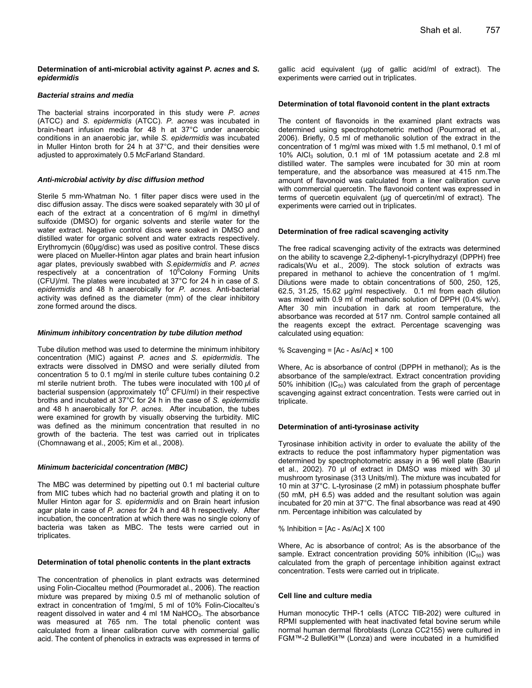#### **Determination of anti-microbial activity against** *P. acnes* **and** *S. epidermidis*

#### *Bacterial strains and media*

The bacterial strains incorporated in this study were *P. acnes*  (ATCC) and *S. epidermidis* (ATCC). *P. acnes* was incubated in brain-heart infusion media for 48 h at 37°C under anaerobic conditions in an anaerobic jar, while *S. epidermidis* was incubated in Muller Hinton broth for 24 h at 37°C, and their densities were adjusted to approximately 0.5 McFarland Standard.

#### *Anti-microbial activity by disc diffusion method*

Sterile 5 mm-Whatman No. 1 filter paper discs were used in the disc diffusion assay. The discs were soaked separately with 30 µl of each of the extract at a concentration of 6 mg/ml in dimethyl sulfoxide (DMSO) for organic solvents and sterile water for the water extract. Negative control discs were soaked in DMSO and distilled water for organic solvent and water extracts respectively. Erythromycin (60µg/disc) was used as positive control. These discs were placed on Mueller-Hinton agar plates and brain heart infusion agar plates, previously swabbed with *S.epidermidis* and *P. acnes*  respectively at a concentration of 10<sup>6</sup>Colony Forming Units (CFU)/ml. The plates were incubated at 37°C for 24 h in case of *S. epidermidis* and 48 h anaerobically for *P. acnes.* Anti-bacterial activity was defined as the diameter (mm) of the clear inhibitory zone formed around the discs.

#### *Minimum inhibitory concentration by tube dilution method*

Tube dilution method was used to determine the minimum inhibitory concentration (MIC) against *P. acnes* and *S. epidermidis*. The extracts were dissolved in DMSO and were serially diluted from concentration 5 to 0.1 mg/ml in sterile culture tubes containing 0.2 ml sterile nutrient broth. The tubes were inoculated with 100 *μ*l of bacterial suspension (approximately 10<sup>6</sup> CFU/ml) in their respective broths and incubated at 37°C for 24 h in the case of *S. epidermidis* and 48 h anaerobically for *P. acnes*. After incubation, the tubes were examined for growth by visually observing the turbidity. MIC was defined as the minimum concentration that resulted in no growth of the bacteria. The test was carried out in triplicates (Chomnawang et al., 2005; Kim et al., 2008).

#### *Minimum bactericidal concentration (MBC)*

The MBC was determined by pipetting out 0.1 ml bacterial culture from MIC tubes which had no bacterial growth and plating it on to Muller Hinton agar for *S. epidermidis* and on Brain heart infusion agar plate in case of *P. acnes* for 24 h and 48 h respectively. After incubation, the concentration at which there was no single colony of bacteria was taken as MBC. The tests were carried out in triplicates.

#### **Determination of total phenolic contents in the plant extracts**

The concentration of phenolics in plant extracts was determined using Folin-Ciocalteu method (Pourmoradet al., 2006). The reaction mixture was prepared by mixing 0.5 ml of methanolic solution of extract in concentration of 1mg/ml, 5 ml of 10% Folin-Ciocalteu's reagent dissolved in water and 4 ml 1M NaHCO<sub>3</sub>. The absorbance was measured at 765 nm. The total phenolic content was calculated from a linear calibration curve with commercial gallic acid. The content of phenolics in extracts was expressed in terms of

gallic acid equivalent (ug of gallic acid/ml of extract). The experiments were carried out in triplicates.

## **Determination of total flavonoid content in the plant extracts**

The content of flavonoids in the examined plant extracts was determined using spectrophotometric method (Pourmorad et al., 2006). Briefly, 0.5 ml of methanolic solution of the extract in the concentration of 1 mg/ml was mixed with 1.5 ml methanol, 0.1 ml of 10% AlCl<sub>3</sub> solution, 0.1 ml of 1M potassium acetate and 2.8 ml distilled water. The samples were incubated for 30 min at room temperature, and the absorbance was measured at 415 nm.The amount of flavonoid was calculated from a liner calibration curve with commercial quercetin. The flavonoid content was expressed in terms of quercetin equivalent (µg of quercetin/ml of extract). The experiments were carried out in triplicates.

#### **Determination of free radical scavenging activity**

The free radical scavenging activity of the extracts was determined on the ability to scavenge 2,2-diphenyl-1-picrylhydrazyl (DPPH) free radicals(Wu et al., 2009). The stock solution of extracts was prepared in methanol to achieve the concentration of 1 mg/ml. Dilutions were made to obtain concentrations of 500, 250, 125, 62.5, 31.25, 15.62 µg/ml respectively. 0.1 ml from each dilution was mixed with 0.9 ml of methanolic solution of DPPH (0.4% w/v). After 30 min incubation in dark at room temperature, the absorbance was recorded at 517 nm. Control sample contained all the reagents except the extract. Percentage scavenging was calculated using equation:

% Scavenging =  $[Ac - As/Ac] \times 100$ 

Where, Ac is absorbance of control (DPPH in methanol); As is the absorbance of the sample/extract. Extract concentration providing 50% inhibition  $(IC_{50})$  was calculated from the graph of percentage scavenging against extract concentration. Tests were carried out in triplicate.

#### **Determination of anti-tyrosinase activity**

Tyrosinase inhibition activity in order to evaluate the ability of the extracts to reduce the post inflammatory hyper pigmentation was determined by spectrophotometric assay in a 96 well plate (Baurin et al., 2002). 70 µl of extract in DMSO was mixed with 30 µl mushroom tyrosinase (313 Units/ml). The mixture was incubated for 10 min at 37°C. L-tyrosinase (2 mM) in potassium phosphate buffer (50 mM, pH 6.5) was added and the resultant solution was again incubated for 20 min at 37°C. The final absorbance was read at 490 nm. Percentage inhibition was calculated by

#### % Inhibition =  $[Ac - As/Ac] \times 100$

Where, Ac is absorbance of control; As is the absorbance of the sample. Extract concentration providing 50% inhibition  $(IC_{50})$  was calculated from the graph of percentage inhibition against extract concentration. Tests were carried out in triplicate.

#### **Cell line and culture media**

Human monocytic THP-1 cells (ATCC TIB-202) were cultured in RPMI supplemented with heat inactivated fetal bovine serum while normal human dermal fibroblasts (Lonza CC2155) were cultured in FGM™-2 BulletKit™ (Lonza) and were incubated in a humidified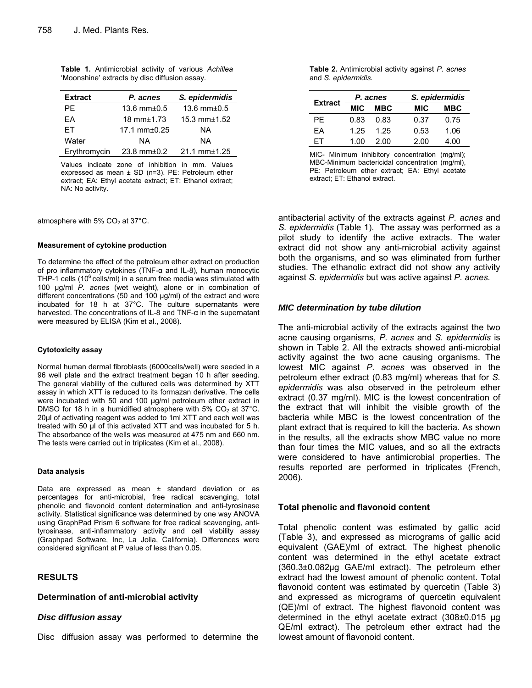| <b>Extract</b> | P. acnes          | S. epidermidis             |  |
|----------------|-------------------|----------------------------|--|
| PF             | 13.6 mm±0.5       | 13.6 mm $\pm$ 0.5          |  |
| FA             | 18 mm $±1.73$     | $15.3$ mm $±1.52$          |  |
| FT             | 17.1 mm±0.25      | NA                         |  |
| Water          | ΝA                | NA                         |  |
| Erythromycin   | 23.8 mm $\pm$ 0.2 | $21.1 \text{ mm} \pm 1.25$ |  |

**Table 1.** Antimicrobial activity of various *Achillea*  'Moonshine' extracts by disc diffusion assay.

Values indicate zone of inhibition in mm. Values expressed as mean ± SD (n=3). PE: Petroleum ether extract; EA: Ethyl acetate extract; ET: Ethanol extract; NA: No activity.

atmosphere with  $5\%$  CO<sub>2</sub> at 37 $^{\circ}$ C.

#### **Measurement of cytokine production**

To determine the effect of the petroleum ether extract on production of pro inflammatory cytokines (TNF-α and IL-8), human monocytic THP-1 cells  $(10^6 \text{ cells/ml})$  in a serum free media was stimulated with 100 µg/ml *P. acnes* (wet weight), alone or in combination of different concentrations (50 and 100 µg/ml) of the extract and were incubated for 18 h at 37°C. The culture supernatants were harvested. The concentrations of IL-8 and TNF-α in the supernatant were measured by ELISA (Kim et al., 2008).

#### **Cytotoxicity assay**

Normal human dermal fibroblasts (6000cells/well) were seeded in a 96 well plate and the extract treatment began 10 h after seeding. The general viability of the cultured cells was determined by XTT assay in which XTT is reduced to its formazan derivative. The cells were incubated with 50 and 100 µg/ml petroleum ether extract in DMSO for 18 h in a humidified atmosphere with 5%  $CO<sub>2</sub>$  at 37°C. 20µl of activating reagent was added to 1ml XTT and each well was treated with 50 µl of this activated XTT and was incubated for 5 h. The absorbance of the wells was measured at 475 nm and 660 nm. The tests were carried out in triplicates (Kim et al., 2008).

#### **Data analysis**

Data are expressed as mean ± standard deviation or as percentages for anti-microbial, free radical scavenging, total phenolic and flavonoid content determination and anti-tyrosinase activity. Statistical significance was determined by one way ANOVA using GraphPad Prism 6 software for free radical scavenging, antityrosinase, anti-inflammatory activity and cell viability assay (Graphpad Software, Inc, La Jolla, California). Differences were considered significant at P value of less than 0.05.

## **RESULTS**

## **Determination of anti-microbial activity**

## *Disc diffusion assay*

Disc diffusion assay was performed to determine the

**Table 2.** Antimicrobial activity against *P. acnes* and *S. epidermidis.* 

| <b>Extract</b> | P. acnes   |            |      | S. epidermidis |  |
|----------------|------------|------------|------|----------------|--|
|                | <b>MIC</b> | <b>MBC</b> | MIC  | <b>MBC</b>     |  |
| PF.            | 0.83       | 0.83       | 0.37 | 0.75           |  |
| FA             | 1.25       | 1.25       | 0.53 | 1.06           |  |
| - 1            | 1 NO       | 2.00       | 2.00 | 4.00           |  |

MIC- Minimum inhibitory concentration (mg/ml); MBC-Minimum bactericidal concentration (mg/ml), PE: Petroleum ether extract; EA: Ethyl acetate extract; ET: Ethanol extract.

antibacterial activity of the extracts against *P. acnes* and *S. epidermidis* (Table 1). The assay was performed as a pilot study to identify the active extracts. The water extract did not show any anti-microbial activity against both the organisms, and so was eliminated from further studies. The ethanolic extract did not show any activity against *S. epidermidis* but was active against *P. acnes.*

## *MIC determination by tube dilution*

The anti-microbial activity of the extracts against the two acne causing organisms, *P. acnes* and *S. epidermidis* is shown in Table 2. All the extracts showed anti-microbial activity against the two acne causing organisms. The lowest MIC against *P. acnes* was observed in the petroleum ether extract (0.83 mg/ml) whereas that for *S. epidermidis* was also observed in the petroleum ether extract (0.37 mg/ml). MIC is the lowest concentration of the extract that will inhibit the visible growth of the bacteria while MBC is the lowest concentration of the plant extract that is required to kill the bacteria. As shown in the results, all the extracts show MBC value no more than four times the MIC values, and so all the extracts were considered to have antimicrobial properties. The results reported are performed in triplicates (French, 2006).

## **Total phenolic and flavonoid content**

Total phenolic content was estimated by gallic acid (Table 3), and expressed as micrograms of gallic acid equivalent (GAE)/ml of extract. The highest phenolic content was determined in the ethyl acetate extract (360.3±0.082µg GAE/ml extract). The petroleum ether extract had the lowest amount of phenolic content. Total flavonoid content was estimated by quercetin (Table 3) and expressed as micrograms of quercetin equivalent (QE)/ml of extract. The highest flavonoid content was determined in the ethyl acetate extract (308±0.015 µg QE/ml extract). The petroleum ether extract had the lowest amount of flavonoid content.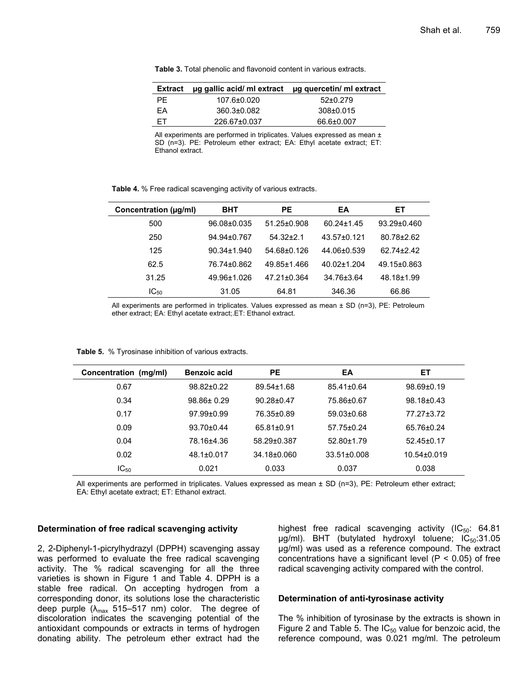| <b>Table 3.</b> Total phenolic and flavonoid content in various extracts. |
|---------------------------------------------------------------------------|
|---------------------------------------------------------------------------|

| Extract | $\mu$ g gallic acid/ml extract $\mu$ g quercetin/ml extract |                 |
|---------|-------------------------------------------------------------|-----------------|
| PF.     | 107.6±0.020                                                 | $52+0.279$      |
| FA      | $360.3 \pm 0.082$                                           | $308 \pm 0.015$ |
| ET.     | 226.67±0.037                                                | 66.6±0.007      |

All experiments are performed in triplicates. Values expressed as mean ± SD (n=3). PE: Petroleum ether extract; EA: Ethyl acetate extract; ET: Ethanol extract.

**Table 4.** % Free radical scavenging activity of various extracts.

| Concentration (µg/ml) | <b>BHT</b>      | РE              | ΕA                | EТ           |
|-----------------------|-----------------|-----------------|-------------------|--------------|
| 500                   | 96.08±0.035     | $51.25 + 0.908$ | $60.24 + 1.45$    | 93.29±0.460  |
| 250                   | 94.94±0.767     | $54.32 \pm 2.1$ | $43.57 \pm 0.121$ | 80.78±2.62   |
| 125                   | $90.34 + 1.940$ | 54.68+0.126     | 44.06±0.539       | 62 74 + 2 42 |
| 62.5                  | 76.74±0.862     | 49.85±1.466     | $40.02 + 1.204$   | 49.15±0.863  |
| 31.25                 | 49.96±1.026     | 47.21±0.364     | 34.76±3.64        | 48.18±1.99   |
| $IC_{50}$             | 31.05           | 64.81           | 346.36            | 66.86        |

All experiments are performed in triplicates. Values expressed as mean ± SD (n=3), PE: Petroleum ether extract; EA: Ethyl acetate extract;.ET: Ethanol extract.

| Concentration (mg/ml) | <b>Benzoic acid</b> | РE               | EA                | EТ                |
|-----------------------|---------------------|------------------|-------------------|-------------------|
| 0.67                  | 98.82±0.22          | $89.54 \pm 1.68$ | $85.41 \pm 0.64$  | $98.69 \pm 0.19$  |
| 0.34                  | $98.86 \pm 0.29$    | $90.28 + 0.47$   | 75.86±0.67        | $98.18 \pm 0.43$  |
| 0.17                  | $97.99 \pm 0.99$    | 76.35±0.89       | $59.03 \pm 0.68$  | 77.27±3.72        |
| 0.09                  | $93.70 + 0.44$      | $65.81 \pm 0.91$ | $57.75 \pm 0.24$  | 65.76+0.24        |
| 0.04                  | 78.16±4.36          | 58.29±0.387      | $52.80 \pm 1.79$  | $52.45 \pm 0.17$  |
| 0.02                  | $48.1 \pm 0.017$    | 34.18±0.060      | $33.51 \pm 0.008$ | $10.54 \pm 0.019$ |
| $IC_{50}$             | 0.021               | 0.033            | 0.037             | 0.038             |

**Table 5.** % Tyrosinase inhibition of various extracts.

All experiments are performed in triplicates. Values expressed as mean  $\pm$  SD (n=3), PE: Petroleum ether extract; EA: Ethyl acetate extract; ET: Ethanol extract.

#### **Determination of free radical scavenging activity**

2, 2-Diphenyl-1-picrylhydrazyl (DPPH) scavenging assay was performed to evaluate the free radical scavenging activity. The % radical scavenging for all the three varieties is shown in Figure 1 and Table 4. DPPH is a stable free radical. On accepting hydrogen from a corresponding donor, its solutions lose the characteristic deep purple  $(\lambda_{\text{max}} 515-517 \text{ nm})$  color. The degree of discoloration indicates the scavenging potential of the antioxidant compounds or extracts in terms of hydrogen donating ability. The petroleum ether extract had the

highest free radical scavenging activity ( $IC_{50}$ : 64.81 µg/ml). BHT (butylated hydroxyl toluene; IC<sub>50</sub>:31.05 µg/ml) was used as a reference compound. The extract concentrations have a significant level ( $P < 0.05$ ) of free radical scavenging activity compared with the control.

## **Determination of anti-tyrosinase activity**

The % inhibition of tyrosinase by the extracts is shown in Figure 2 and Table 5. The  $IC_{50}$  value for benzoic acid, the reference compound, was 0.021 mg/ml. The petroleum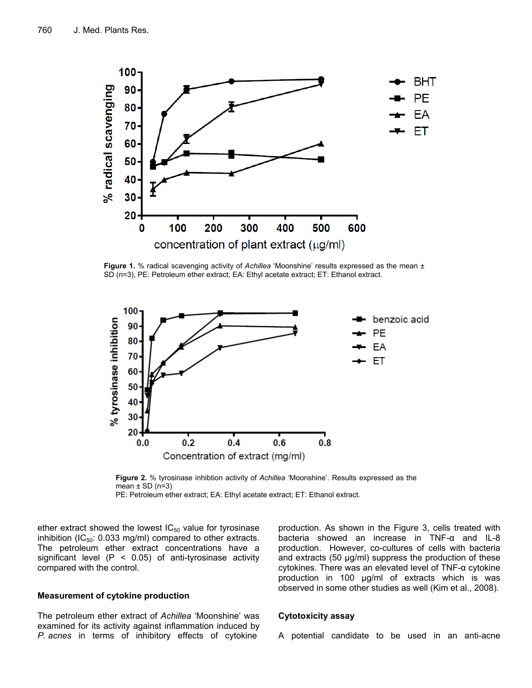

**Figure 1.** % radical scavenging activity of *Achillea* 'Moonshine' results expressed as the mean ± SD (n=3), PE: Petroleum ether extract; EA: Ethyl acetate extract; ET: Ethanol extract.



**Figure 2.** % tyrosinase inhibtion activity of *Achillea* 'Moonshine'. Results expressed as the mean  $\pm$  SD (n=3)

PE: Petroleum ether extract; EA: Ethyl acetate extract; ET: Ethanol extract.

ether extract showed the lowest  $IC_{50}$  value for tyrosinase inhibition ( $IC_{50}$ : 0.033 mg/ml) compared to other extracts. The petroleum ether extract concentrations have a significant level  $(P < 0.05)$  of anti-tyrosinase activity compared with the control.

#### **Measurement of cytokine production**

The petroleum ether extract of *Achillea* 'Moonshine' was examined for its activity against inflammation induced by *P. acnes* in terms of inhibitory effects of cytokine

production. As shown in the Figure 3, cells treated with bacteria showed an increase in TNF-α and IL-8 production. However, co-cultures of cells with bacteria and extracts (50 µg/ml) suppress the production of these cytokines. There was an elevated level of TNF-α cytokine production in 100 µg/ml of extracts which is was observed in some other studies as well (Kim et al., 2008).

## **Cytotoxicity assay**

A potential candidate to be used in an anti-acne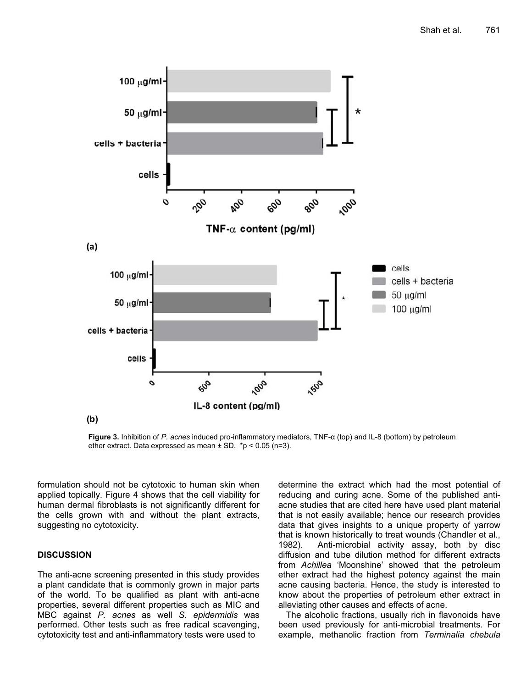

**Figure 3.** Inhibition of *P. acnes* induced pro-inflammatory mediators, TNF-α (top) and IL-8 (bottom) by petroleum ether extract. Data expressed as mean  $\pm$  SD. \*p < 0.05 (n=3).

formulation should not be cytotoxic to human skin when applied topically. Figure 4 shows that the cell viability for human dermal fibroblasts is not significantly different for the cells grown with and without the plant extracts, suggesting no cytotoxicity.

## **DISCUSSION**

The anti-acne screening presented in this study provides a plant candidate that is commonly grown in major parts of the world. To be qualified as plant with anti-acne properties, several different properties such as MIC and MBC against *P. acnes* as well *S. epidermidis* was performed. Other tests such as free radical scavenging, cytotoxicity test and anti-inflammatory tests were used to

determine the extract which had the most potential of reducing and curing acne. Some of the published antiacne studies that are cited here have used plant material that is not easily available; hence our research provides data that gives insights to a unique property of yarrow that is known historically to treat wounds (Chandler et al., 1982). Anti-microbial activity assay, both by disc diffusion and tube dilution method for different extracts from *Achillea* 'Moonshine' showed that the petroleum ether extract had the highest potency against the main acne causing bacteria. Hence, the study is interested to know about the properties of petroleum ether extract in alleviating other causes and effects of acne.

The alcoholic fractions, usually rich in flavonoids have been used previously for anti-microbial treatments. For example, methanolic fraction from *Terminalia chebula*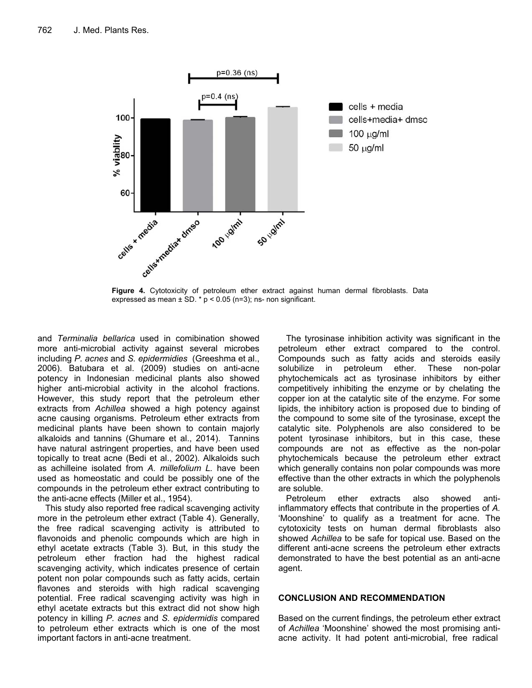

expressed as mean  $\pm$  SD. \* p < 0.05 (n=3); ns- non significant.

and *Terminalia bellarica* used in comibination showed more anti-microbial activity against several microbes including *P. acnes* and *S. epidermidies* (Greeshma et al., 2006). Batubara et al. (2009) studies on anti-acne potency in Indonesian medicinal plants also showed higher anti-microbial activity in the alcohol fractions. However, this study report that the petroleum ether extracts from *Achillea* showed a high potency against acne causing organisms. Petroleum ether extracts from medicinal plants have been shown to contain majorly alkaloids and tannins (Ghumare et al., 2014). Tannins have natural astringent properties, and have been used topically to treat acne (Bedi et al., 2002). Alkaloids such as achilleine isolated from *A. millefolium L.* have been used as homeostatic and could be possibly one of the compounds in the petroleum ether extract contributing to the anti-acne effects (Miller et al., 1954).

This study also reported free radical scavenging activity more in the petroleum ether extract (Table 4). Generally, the free radical scavenging activity is attributed to flavonoids and phenolic compounds which are high in ethyl acetate extracts (Table 3). But, in this study the petroleum ether fraction had the highest radical scavenging activity, which indicates presence of certain potent non polar compounds such as fatty acids, certain flavones and steroids with high radical scavenging potential. Free radical scavenging activity was high in ethyl acetate extracts but this extract did not show high potency in killing *P. acnes* and *S. epidermidis* compared to petroleum ether extracts which is one of the most important factors in anti-acne treatment.

The tyrosinase inhibition activity was significant in the petroleum ether extract compared to the control. Compounds such as fatty acids and steroids easily solubilize in petroleum ether. These non-polar phytochemicals act as tyrosinase inhibitors by either competitively inhibiting the enzyme or by chelating the copper ion at the catalytic site of the enzyme. For some lipids, the inhibitory action is proposed due to binding of the compound to some site of the tyrosinase, except the catalytic site. Polyphenols are also considered to be potent tyrosinase inhibitors, but in this case, these compounds are not as effective as the non-polar phytochemicals because the petroleum ether extract which generally contains non polar compounds was more effective than the other extracts in which the polyphenols are soluble.

Petroleum ether extracts also showed antiinflammatory effects that contribute in the properties of *A.* 'Moonshine' to qualify as a treatment for acne. The cytotoxicity tests on human dermal fibroblasts also showed *Achillea* to be safe for topical use. Based on the different anti-acne screens the petroleum ether extracts demonstrated to have the best potential as an anti-acne agent.

## **CONCLUSION AND RECOMMENDATION**

Based on the current findings, the petroleum ether extract of *Achillea* 'Moonshine' showed the most promising antiacne activity. It had potent anti-microbial, free radical